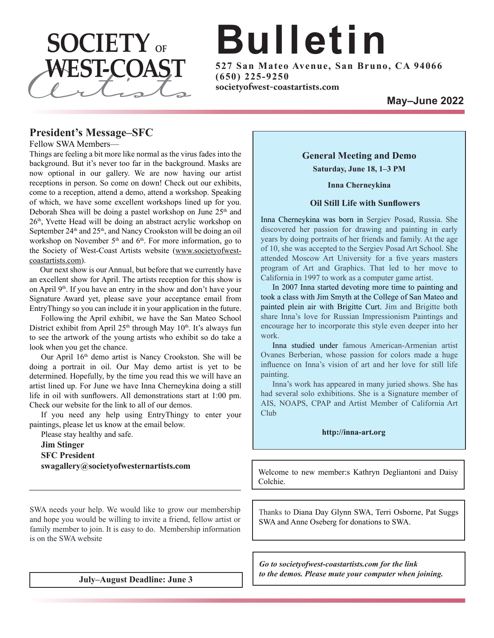

# **Bulletin**

**5 2 7 S an Ma teo Avenue, S an Brun o, CA 9 4 0 6 6 ( 6 5 0 ) 2 2 5 - 9 2 5 0**

#### **President's Message–SFC**

#### Fellow SWA Members—

Things are feeling a bit more like normal as the virus fades into the background. But it's never too far in the background. Masks are now optional in our gallery. We are now having our artist receptions in person. So come on down! Check out our exhibits, come to a reception, attend a demo, attend a workshop. Speaking of which, we have some excellent workshops lined up for you. Deborah Shea will be doing a pastel workshop on June  $25<sup>th</sup>$  and 26th, Yvette Head will be doing an abstract acrylic workshop on September  $24<sup>th</sup>$  and  $25<sup>th</sup>$ , and Nancy Crookston will be doing an oil workshop on November  $5<sup>th</sup>$  and  $6<sup>th</sup>$ . For more information, go to the Society of West-Coast Artists website (www.societyofwestcoastartists.com).

Our next show is our Annual, but before that we currently have an excellent show for April. The artists reception for this show is on April  $9<sup>th</sup>$ . If you have an entry in the show and don't have your Signature Award yet, please save your acceptance email from EntryThingy so you can include it in your application in the future.

Following the April exhibit, we have the San Mateo School District exhibit from April  $25<sup>th</sup>$  through May  $10<sup>th</sup>$ . It's always fun to see the artwork of the young artists who exhibit so do take a look when you get the chance.

Our April 16th demo artist is Nancy Crookston. She will be doing a portrait in oil. Our May demo artist is yet to be determined. Hopefully, by the time you read this we will have an artist lined up. For June we have Inna Cherneykina doing a still life in oil with sunflowers. All demonstrations start at 1:00 pm. Check our website for the link to all of our demos.

If you need any help using EntryThingy to enter your paintings, please let us know at the email below.

Please stay healthy and safe. **Jim Stinger SFC President swagallery@societyofwesternartists.com**

SWA needs your help. We would like to grow our membership and hope you would be willing to invite a friend, fellow artist or family member to join. It is easy to do. Membership information is on the SWA website

**July–August Deadline: June 3**

#### **General Meeting and Demo**

**Saturday, June 18, 1–3 PM**

**Inna Cherneykina**

#### **Oil Still Life with Sunflowers**

Inna Cherneykina was born in Sergiev Posad, Russia. She discovered her passion for drawing and painting in early years by doing portraits of her friends and family. At the age of 10, she was accepted to the Sergiev Posad Art School. She attended Moscow Art University for a five years masters program of Art and Graphics. That led to her move to California in 1997 to work as a computer game artist.

In 2007 Inna started devoting more time to painting and took a class with Jim Smyth at the College of San Mateo and painted plein air with Brigitte Curt. Jim and Brigitte both share Inna's love for Russian Impressionism Paintings and encourage her to incorporate this style even deeper into her work.

Inna studied under famous American-Armenian artist Ovanes Berberian, whose passion for colors made a huge influence on Inna's vision of art and her love for still life painting.

Inna's work has appeared in many juried shows. She has had several solo exhibitions. She is a Signature member of AIS, NOAPS, CPAP and Artist Member of California Art Club

#### **http://inna-art.org**

Welcome to new member:s Kathryn Degliantoni and Daisy Colchie.

Thanks to Diana Day Glynn SWA, Terri Osborne, Pat Suggs SWA and Anne Oseberg for donations to SWA.

*Go to societyofwest-coastartists.com for the link to the demos. Please mute your computer when joining.*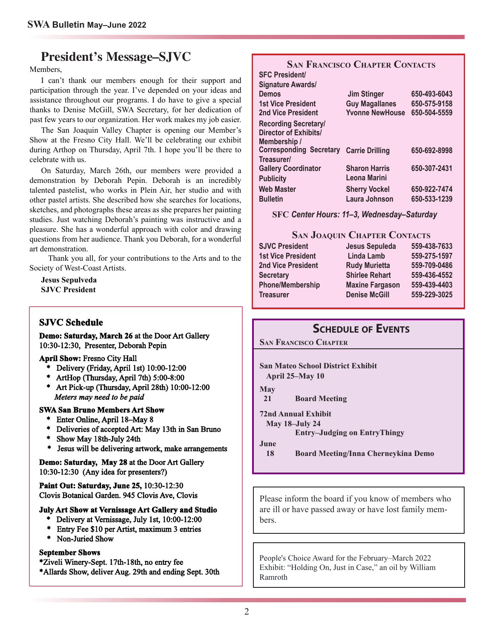### **President's Message–SJVC**

Members,

<sup>I</sup> can't thank our members enough for their suppor<sup>t</sup> and participation through the year. I've depended on your ideas and assistance throughout our programs. <sup>I</sup> do have to <sup>g</sup>ive <sup>a</sup> special thanks to Denise McGill, SWA Secretary, for her dedication of pas<sup>t</sup> few years to our organization. Her work makes my job easier.

The San Joaquin Valley Chapter is opening our Member's Show at the Fresno City Hall. We'll be celebrating our exhibit during Arthop on Thursday, April 7th. <sup>I</sup> hope you'll be there to celebrate with us.

On Saturday, March 26th, our members were provided <sup>a</sup> demonstration by Deborah Pepin. Deborah is an incredibly talented pastelist, who works in Plein Air, her studio and with other pastel artists. She described how she searches for locations, sketches, and <sup>p</sup>hotographs these areas as she prepares her painting studies. Just watching Deborah's painting was instructive and <sup>a</sup> <sup>p</sup>leasure. She has <sup>a</sup> wonderful approach with color and drawing questions from her audience. Thank you Deborah, for <sup>a</sup> wonderful art demonstration.

Thank you all, for your contributions to the Arts and to the Society of West-Coast Artists.

**Jesus Sepulveda SJVC President**

#### **SJVC Schedule**

**Demo: Saturday, March 26** at the Door Art Gallery 10:30-12:30, Presenter, Deborah Pepin

#### **April Show:** Fresno City Hall

- \* Delivery (Friday, April 1st) 10:00-12:00
- ArtHop (Thursday, April 7th) 5:00-8:00
- Art Pick-up (Thursday, April 28th) 10:00-12:00 *Meters may need to be paid*

#### **SWA San Bruno Members Art Show**

- \* Enter Online, April 18–May 8
- Deliveries of accepted Art: May 13th in San Bruno
- Show May 18th-July 24th
- Jesus will be delivering artwork, make arrangements

**Demo: Saturday, May 28** at the Door Art Gallery 10:30-12:30 (Any idea for presenters?)

**Paint Out: Saturday, June 25,** 10:30-12:30 Clovis Botanical Garden. 945 Clovis Ave, Clovis

#### **July Art Show at Vernissage Art Gallery and Studio**

- \* Delivery at Vernissage, July 1st, 10:00-12:00
- Entry Fee \$10 per Artist, maximum 3 entries
- \* Non-Juried Show

#### **September Shows**

\*Ziveli Winery-Sept. 17th-18th, no entry fee \*Allards Show, deliver Aug. 29th and ending Sept. 30th

#### **SAN FRANCISCO CHAPTER CONTACTS SFC President/**

| u v i igalugilu                                                      |                        |              |
|----------------------------------------------------------------------|------------------------|--------------|
| <b>Signature Awards/</b>                                             |                        |              |
| <b>Demos</b>                                                         | <b>Jim Stinger</b>     | 650-493-6043 |
| <b>1st Vice President</b>                                            | <b>Guy Magallanes</b>  | 650-575-9158 |
| 2nd Vice President                                                   | <b>Yvonne NewHouse</b> | 650-504-5559 |
| <b>Recording Secretary/</b><br>Director of Exhibits/<br>Membership / |                        |              |
| <b>Corresponding Secretary Carrie Drilling</b>                       |                        | 650-692-8998 |
| Treasurer/                                                           |                        |              |
| <b>Gallery Coordinator</b>                                           | <b>Sharon Harris</b>   | 650-307-2431 |
| <b>Publicity</b>                                                     | Leona Marini           |              |
| <b>Web Master</b>                                                    | <b>Sherry Vockel</b>   | 650-922-7474 |
| <b>Bulletin</b>                                                      | Laura Johnson          | 650-533-1239 |

**SFC** *Center Hours: 11–3, Wednesday–Saturday*

#### **SAN JOAQUIN CHAPTER CONTACTS**

| <b>SJVC President</b>     | Jesus Sepuleda         | 559-438-7633 |
|---------------------------|------------------------|--------------|
| <b>1st Vice President</b> | Linda Lamb             | 559-275-1597 |
| 2nd Vice President        | <b>Rudy Murietta</b>   | 559-709-0486 |
| <b>Secretary</b>          | <b>Shirlee Rehart</b>  | 559-436-4552 |
| <b>Phone/Membership</b>   | <b>Maxine Fargason</b> | 559-439-4403 |
| <b>Treasurer</b>          | <b>Denise McGill</b>   | 559-229-3025 |

#### **SCHEDULE OF EVENTS**

**SAN FRANCISCO CHAPTER**

**San Mateo School District Exhibit April 25–May 10**

**May 21 Board Meeting**

**72nd Annual Exhibit May 18–July 24**

**Entry–Judging on EntryThingy**

**June**

**18 Board Meeting/Inna Cherneykina Demo**

Please inform the board if you know of members who are ill or have passed away or have lost family members.

People's Choice Award for the February–March 2022 Exhibit: "Holding On, Just in Case," an oil by William Ramroth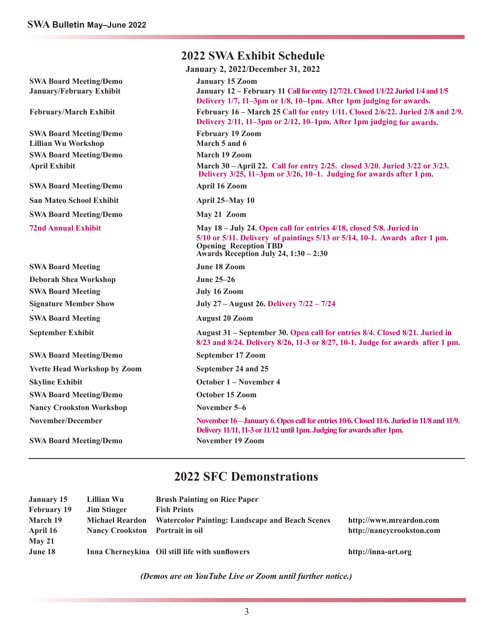| <b>2022 SWA Exhibit Schedule</b>                                                                  |                                                                                                                                                                                                                                                                     |  |  |  |  |
|---------------------------------------------------------------------------------------------------|---------------------------------------------------------------------------------------------------------------------------------------------------------------------------------------------------------------------------------------------------------------------|--|--|--|--|
|                                                                                                   | <b>January 2, 2022/December 31, 2022</b>                                                                                                                                                                                                                            |  |  |  |  |
| <b>SWA Board Meeting/Demo</b><br><b>January/February Exhibit</b><br><b>February/March Exhibit</b> | <b>January 15 Zoom</b><br>January 12 - February 11 Call for entry 12/7/21. Closed 1/1/22 Juried 1/4 and 1/5<br>Delivery 1/7, 11–3pm or 1/8, 10–1pm. After 1pm judging for awards.<br>February 16 - March 25 Call for entry 1/11. Closed 2/6/22. Juried 2/8 and 2/9. |  |  |  |  |
|                                                                                                   | Delivery 2/11, 11-3pm or 2/12, 10-1pm. After 1pm judging for awards.                                                                                                                                                                                                |  |  |  |  |
| <b>SWA Board Meeting/Demo</b><br><b>Lillian Wu Workshop</b>                                       | <b>February 19 Zoom</b><br>March 5 and 6                                                                                                                                                                                                                            |  |  |  |  |
| <b>SWA Board Meeting/Demo</b>                                                                     | <b>March 19 Zoom</b>                                                                                                                                                                                                                                                |  |  |  |  |
| <b>April Exhibit</b>                                                                              | March 30 - April 22. Call for entry 2/25. closed 3/20. Juried 3/22 or 3/23.<br>Delivery 3/25, 11-3pm or 3/26, 10-1. Judging for awards after 1 pm.                                                                                                                  |  |  |  |  |
| <b>SWA Board Meeting/Demo</b>                                                                     | <b>April 16 Zoom</b>                                                                                                                                                                                                                                                |  |  |  |  |
| <b>San Mateo School Exhibit</b>                                                                   | April 25-May 10                                                                                                                                                                                                                                                     |  |  |  |  |
| <b>SWA Board Meeting/Demo</b>                                                                     | May 21 Zoom                                                                                                                                                                                                                                                         |  |  |  |  |
| <b>72nd Annual Exhibit</b>                                                                        | May 18 – July 24. Open call for entries 4/18, closed 5/8. Juried in<br>5/10 or 5/11. Delivery of paintings 5/13 or 5/14, 10-1. Awards after 1 pm.<br><b>Opening Reception TBD</b><br>Awards Reception July 24, 1:30 - 2:30                                          |  |  |  |  |
| <b>SWA Board Meeting</b>                                                                          | June 18 Zoom                                                                                                                                                                                                                                                        |  |  |  |  |
| <b>Deborah Shea Workshop</b>                                                                      | <b>June 25–26</b>                                                                                                                                                                                                                                                   |  |  |  |  |
| <b>SWA Board Meeting</b>                                                                          | <b>July 16 Zoom</b>                                                                                                                                                                                                                                                 |  |  |  |  |
| <b>Signature Member Show</b>                                                                      | July 27 – August 26. Delivery 7/22 – 7/24                                                                                                                                                                                                                           |  |  |  |  |
| <b>SWA Board Meeting</b>                                                                          | <b>August 20 Zoom</b>                                                                                                                                                                                                                                               |  |  |  |  |
| <b>September Exhibit</b>                                                                          | August 31 – September 30. Open call for entries 8/4. Closed 8/21. Juried in<br>8/23 and 8/24. Delivery 8/26, 11-3 or 8/27, 10-1. Judge for awards after 1 pm.                                                                                                       |  |  |  |  |
| <b>SWA Board Meeting/Demo</b>                                                                     | <b>September 17 Zoom</b>                                                                                                                                                                                                                                            |  |  |  |  |
| <b>Yvette Head Workshop by Zoom</b>                                                               | September 24 and 25                                                                                                                                                                                                                                                 |  |  |  |  |
| <b>Skyline Exhibit</b>                                                                            | <b>October 1 – November 4</b>                                                                                                                                                                                                                                       |  |  |  |  |
| <b>SWA Board Meeting/Demo</b>                                                                     | <b>October 15 Zoom</b>                                                                                                                                                                                                                                              |  |  |  |  |
| <b>Nancy Crookston Workshop</b>                                                                   | November 5–6                                                                                                                                                                                                                                                        |  |  |  |  |
| November/December                                                                                 | November 16 – January 6. Open call for entries 10/6. Closed 11/6. Juried in 11/8 and 11/9.<br>Delivery 11/11, 11-3 or 11/12 until 1pm. Judging for awards after 1pm.                                                                                                |  |  |  |  |
| <b>SWA Board Meeting/Demo</b>                                                                     | <b>November 19 Zoom</b>                                                                                                                                                                                                                                             |  |  |  |  |

### **2022 SFC Demonstrations**

| <b>January 15</b>  | Lillian Wu                      | <b>Brush Painting on Rice Paper</b>                    |                           |
|--------------------|---------------------------------|--------------------------------------------------------|---------------------------|
| <b>February 19</b> | <b>Jim Stinger</b>              | <b>Fish Prints</b>                                     |                           |
| <b>March 19</b>    | <b>Michael Reardon</b>          | <b>Watercolor Painting: Landscape and Beach Scenes</b> | http://www.mreardon.com   |
| April 16           | Nancy Crookston Portrait in oil |                                                        | http://nancycrookston.com |
| May 21             |                                 |                                                        |                           |
| June 18            |                                 | Inna Cherneykina Oil still life with sunflowers        | http://inna-art.org       |

*(Demos are on YouTube Live or Zoom until further notice.)*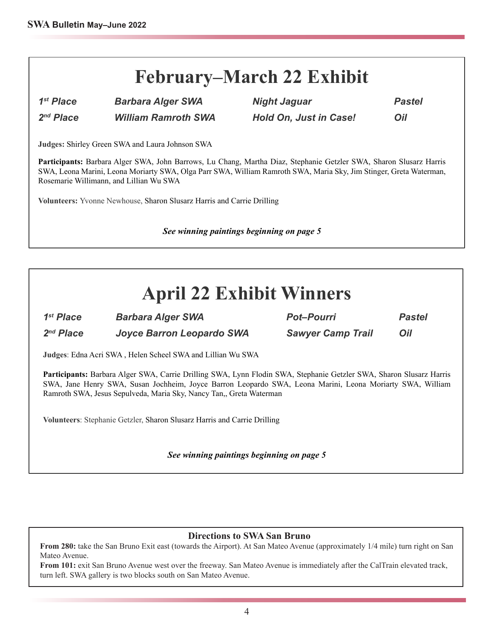# **February–March 22 Exhibit**

1<sup>st</sup> Place **Barbara Alger SWA Night Jaguar Pastel** 2<sup>nd</sup> Place *nd Place William Ramroth SWA Hold On, Just in Case! Oil*

**Judges:** Shirley Green SWA and Laura Johnson SWA

**Participants:** Barbara Alger SWA, John Barrows, Lu Chang, Martha Diaz, Stephanie Getzler SWA, Sharon Slusarz Harris SWA, Leona Marini, Leona Moriarty SWA, Olga Parr SWA, William Ramroth SWA, Maria Sky, Jim Stinger, Greta Waterman, Rosemarie Willimann, and Lillian Wu SWA

**Volunteers:** Yvonne Newhouse, Sharon Slusarz Harris and Carrie Drilling

*See winning paintings beginning on page 5*

# **April 22 Exhibit Winners**

| 1 <sup>st</sup> Place | <b>Barbara Alger SWA</b>  | <b>Pot-Pourri</b>        | <b>Pastel</b> |
|-----------------------|---------------------------|--------------------------|---------------|
| $2nd$ Place           | Joyce Barron Leopardo SWA | <b>Sawyer Camp Trail</b> | Oil           |

**Judges**: Edna Acri SWA , Helen Scheel SWA and Lillian Wu SWA

**Participants:** Barbara Alger SWA, Carrie Drilling SWA, Lynn Flodin SWA, Stephanie Getzler SWA, Sharon Slusarz Harris SWA, Jane Henry SWA, Susan Jochheim, Joyce Barron Leopardo SWA, Leona Marini, Leona Moriarty SWA, William Ramroth SWA, Jesus Sepulveda, Maria Sky, Nancy Tan,, Greta Waterman

**Volunteers**: Stephanie Getzler, Sharon Slusarz Harris and Carrie Drilling

*See winning paintings beginning on page 5*

#### **Directions to SWA San Bruno**

**From 280:** take the San Bruno Exit east (towards the Airport). At San Mateo Avenue (approximately 1/4 mile) turn right on San Mateo Avenue.

**From 101:** exit San Bruno Avenue west over the freeway. San Mateo Avenue is immediately after the CalTrain elevated track, turn left. SWA gallery is two blocks south on San Mateo Avenue.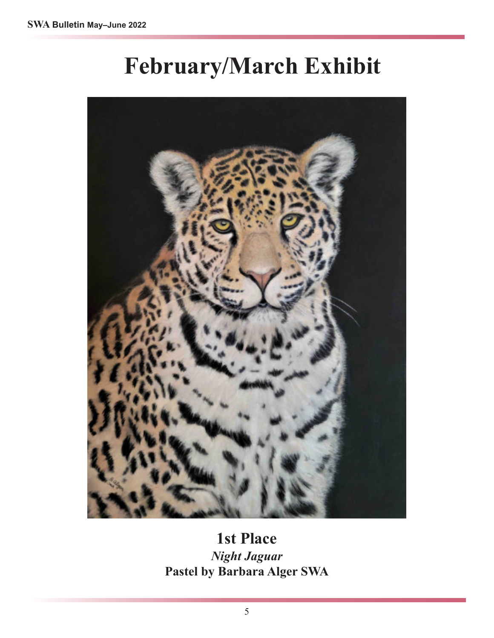# **February/March Exhibit**



# **1st Place**

*Night Jaguar* **Pastel by Barbara Alger SWA**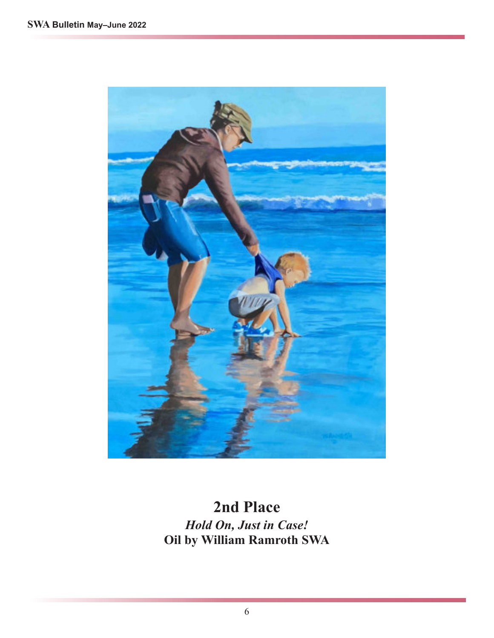

**2nd Place** *Hold On, Just in Case!* **Oil by William Ramroth SWA**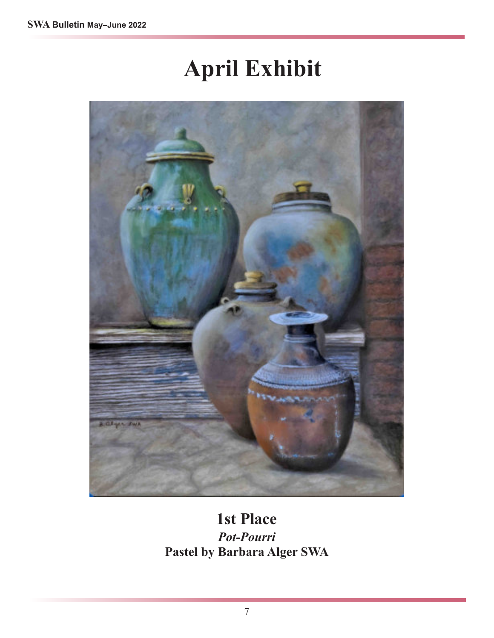# **April Exhibit**



### **1st Place** *Pot-Pourri* **Pastel by Barbara Alger SWA**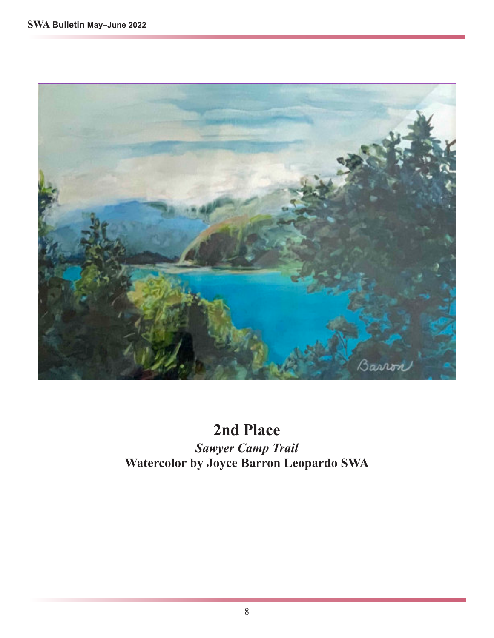

## **2nd Place** *Sawyer Camp Trail* **Watercolor by Joyce Barron Leopardo SWA**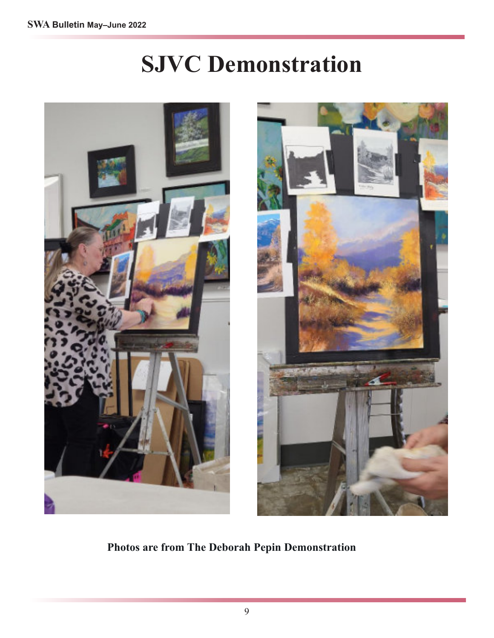# **SJVC Demonstration**





**Photos are from The Deborah Pepin Demonstration**